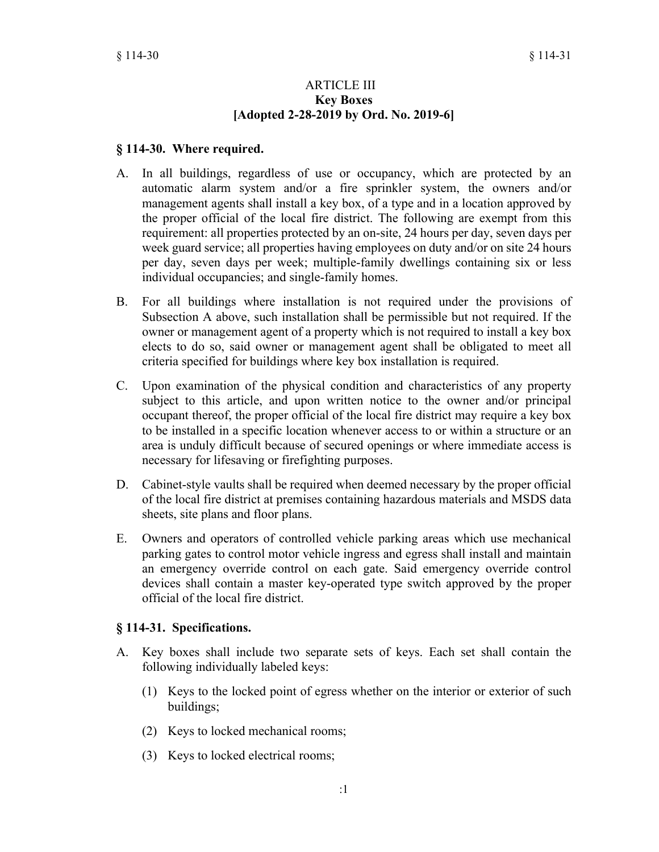#### ARTICLE III **Key Boxes [Adopted 2-28-2019 by Ord. No. 2019-6]**

### **§ 114-30. Where required.**

- A. In all buildings, regardless of use or occupancy, which are protected by an automatic alarm system and/or a fire sprinkler system, the owners and/or management agents shall install a key box, of a type and in a location approved by the proper official of the local fire district. The following are exempt from this requirement: all properties protected by an on-site, 24 hours per day, seven days per week guard service; all properties having employees on duty and/or on site 24 hours per day, seven days per week; multiple-family dwellings containing six or less individual occupancies; and single-family homes.
- B. For all buildings where installation is not required under the provisions of Subsection A above, such installation shall be permissible but not required. If the owner or management agent of a property which is not required to install a key box elects to do so, said owner or management agent shall be obligated to meet all criteria specified for buildings where key box installation is required.
- C. Upon examination of the physical condition and characteristics of any property subject to this article, and upon written notice to the owner and/or principal occupant thereof, the proper official of the local fire district may require a key box to be installed in a specific location whenever access to or within a structure or an area is unduly difficult because of secured openings or where immediate access is necessary for lifesaving or firefighting purposes.
- D. Cabinet-style vaults shall be required when deemed necessary by the proper official of the local fire district at premises containing hazardous materials and MSDS data sheets, site plans and floor plans.
- E. Owners and operators of controlled vehicle parking areas which use mechanical parking gates to control motor vehicle ingress and egress shall install and maintain an emergency override control on each gate. Said emergency override control devices shall contain a master key-operated type switch approved by the proper official of the local fire district.

## **§ 114-31. Specifications.**

- A. Key boxes shall include two separate sets of keys. Each set shall contain the following individually labeled keys:
	- (1) Keys to the locked point of egress whether on the interior or exterior of such buildings;
	- (2) Keys to locked mechanical rooms;
	- (3) Keys to locked electrical rooms;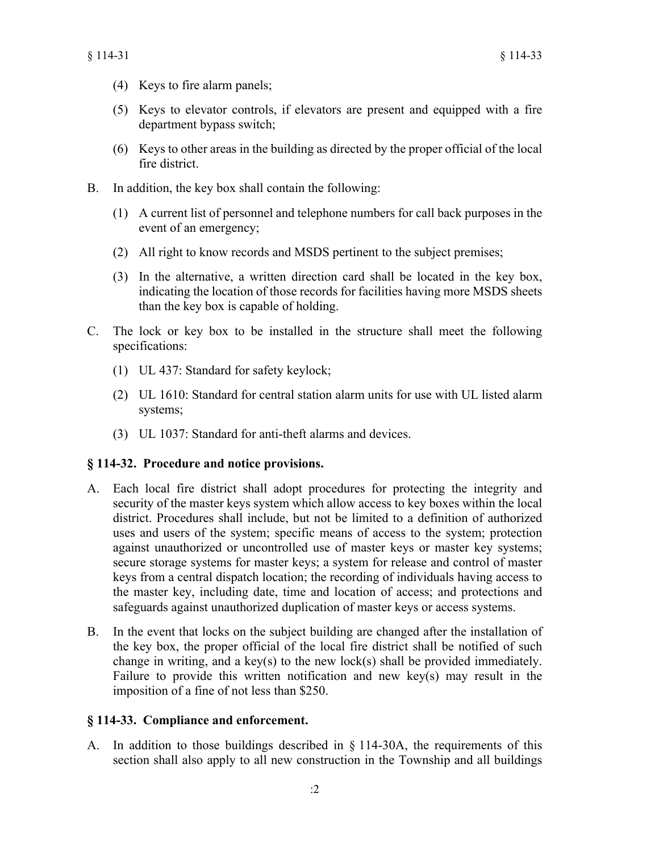- (4) Keys to fire alarm panels;
- (5) Keys to elevator controls, if elevators are present and equipped with a fire department bypass switch;
- (6) Keys to other areas in the building as directed by the proper official of the local fire district.
- B. In addition, the key box shall contain the following:
	- (1) A current list of personnel and telephone numbers for call back purposes in the event of an emergency;
	- (2) All right to know records and MSDS pertinent to the subject premises;
	- (3) In the alternative, a written direction card shall be located in the key box, indicating the location of those records for facilities having more MSDS sheets than the key box is capable of holding.
- C. The lock or key box to be installed in the structure shall meet the following specifications:
	- (1) UL 437: Standard for safety keylock;
	- (2) UL 1610: Standard for central station alarm units for use with UL listed alarm systems;
	- (3) UL 1037: Standard for anti-theft alarms and devices.

## **§ 114-32. Procedure and notice provisions.**

- A. Each local fire district shall adopt procedures for protecting the integrity and security of the master keys system which allow access to key boxes within the local district. Procedures shall include, but not be limited to a definition of authorized uses and users of the system; specific means of access to the system; protection against unauthorized or uncontrolled use of master keys or master key systems; secure storage systems for master keys; a system for release and control of master keys from a central dispatch location; the recording of individuals having access to the master key, including date, time and location of access; and protections and safeguards against unauthorized duplication of master keys or access systems.
- B. In the event that locks on the subject building are changed after the installation of the key box, the proper official of the local fire district shall be notified of such change in writing, and a key(s) to the new lock(s) shall be provided immediately. Failure to provide this written notification and new key(s) may result in the imposition of a fine of not less than \$250.

## **§ 114-33. Compliance and enforcement.**

A. In addition to those buildings described in § 114-30A, the requirements of this section shall also apply to all new construction in the Township and all buildings